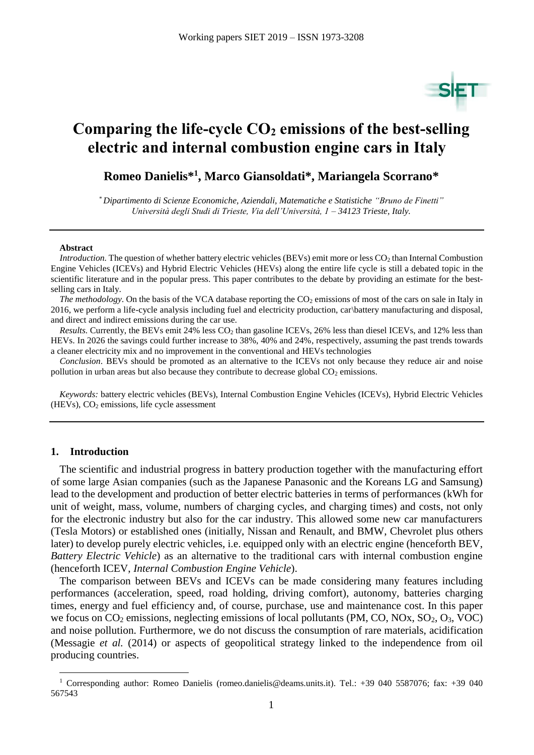

# **Comparing the life-cycle CO<sup>2</sup> emissions of the best-selling electric and internal combustion engine cars in Italy**

**Romeo Danielis\* 1 , Marco Giansoldati\*, Mariangela Scorrano\***

*\* Dipartimento di Scienze Economiche, Aziendali, Matematiche e Statistiche "Bruno de Finetti" Università degli Studi di Trieste, Via dell'Università, 1 – 34123 Trieste, Italy.*

#### **Abstract**

*Introduction*. The question of whether battery electric vehicles (BEVs) emit more or less CO<sub>2</sub> than Internal Combustion Engine Vehicles (ICEVs) and Hybrid Electric Vehicles (HEVs) along the entire life cycle is still a debated topic in the scientific literature and in the popular press. This paper contributes to the debate by providing an estimate for the bestselling cars in Italy.

*The methodology*. On the basis of the VCA database reporting the CO<sub>2</sub> emissions of most of the cars on sale in Italy in 2016, we perform a life-cycle analysis including fuel and electricity production, car\battery manufacturing and disposal, and direct and indirect emissions during the car use.

*Results.* Currently, the BEVs emit 24% less CO<sub>2</sub> than gasoline ICEVs, 26% less than diesel ICEVs, and 12% less than HEVs. In 2026 the savings could further increase to 38%, 40% and 24%, respectively, assuming the past trends towards a cleaner electricity mix and no improvement in the conventional and HEVs technologies

*Conclusion*. BEVs should be promoted as an alternative to the ICEVs not only because they reduce air and noise pollution in urban areas but also because they contribute to decrease global  $CO<sub>2</sub>$  emissions.

*Keywords:* battery electric vehicles (BEVs), Internal Combustion Engine Vehicles (ICEVs), Hybrid Electric Vehicles  $(HEVs)$ ,  $CO<sub>2</sub>$  emissions, life cycle assessment

#### **1. Introduction**

 $\overline{a}$ 

The scientific and industrial progress in battery production together with the manufacturing effort of some large Asian companies (such as the Japanese Panasonic and the Koreans LG and Samsung) lead to the development and production of better electric batteries in terms of performances (kWh for unit of weight, mass, volume, numbers of charging cycles, and charging times) and costs, not only for the electronic industry but also for the car industry. This allowed some new car manufacturers (Tesla Motors) or established ones (initially, Nissan and Renault, and BMW, Chevrolet plus others later) to develop purely electric vehicles, i.e. equipped only with an electric engine (henceforth BEV, *Battery Electric Vehicle*) as an alternative to the traditional cars with internal combustion engine (henceforth ICEV, *Internal Combustion Engine Vehicle*).

The comparison between BEVs and ICEVs can be made considering many features including performances (acceleration, speed, road holding, driving comfort), autonomy, batteries charging times, energy and fuel efficiency and, of course, purchase, use and maintenance cost. In this paper we focus on  $CO_2$  emissions, neglecting emissions of local pollutants (PM, CO, NOx,  $SO_2$ ,  $O_3$ , VOC) and noise pollution. Furthermore, we do not discuss the consumption of rare materials, acidification (Messagie *et al.* (2014) or aspects of geopolitical strategy linked to the independence from oil producing countries.

<sup>1</sup> Corresponding author: Romeo Danielis (romeo.danielis@deams.units.it). Tel.: +39 040 5587076; fax: +39 040 567543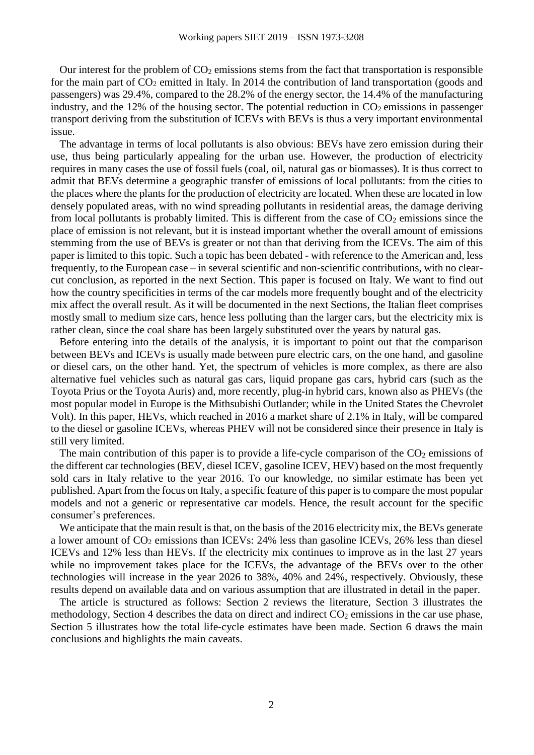Our interest for the problem of  $CO<sub>2</sub>$  emissions stems from the fact that transportation is responsible for the main part of  $CO<sub>2</sub>$  emitted in Italy. In 2014 the contribution of land transportation (goods and passengers) was 29.4%, compared to the 28.2% of the energy sector, the 14.4% of the manufacturing industry, and the 12% of the housing sector. The potential reduction in  $CO<sub>2</sub>$  emissions in passenger transport deriving from the substitution of ICEVs with BEVs is thus a very important environmental issue.

The advantage in terms of local pollutants is also obvious: BEVs have zero emission during their use, thus being particularly appealing for the urban use. However, the production of electricity requires in many cases the use of fossil fuels (coal, oil, natural gas or biomasses). It is thus correct to admit that BEVs determine a geographic transfer of emissions of local pollutants: from the cities to the places where the plants for the production of electricity are located. When these are located in low densely populated areas, with no wind spreading pollutants in residential areas, the damage deriving from local pollutants is probably limited. This is different from the case of  $CO<sub>2</sub>$  emissions since the place of emission is not relevant, but it is instead important whether the overall amount of emissions stemming from the use of BEVs is greater or not than that deriving from the ICEVs. The aim of this paper is limited to this topic. Such a topic has been debated - with reference to the American and, less frequently, to the European case – in several scientific and non-scientific contributions, with no clearcut conclusion, as reported in the next Section. This paper is focused on Italy. We want to find out how the country specificities in terms of the car models more frequently bought and of the electricity mix affect the overall result. As it will be documented in the next Sections, the Italian fleet comprises mostly small to medium size cars, hence less polluting than the larger cars, but the electricity mix is rather clean, since the coal share has been largely substituted over the years by natural gas.

Before entering into the details of the analysis, it is important to point out that the comparison between BEVs and ICEVs is usually made between pure electric cars, on the one hand, and gasoline or diesel cars, on the other hand. Yet, the spectrum of vehicles is more complex, as there are also alternative fuel vehicles such as natural gas cars, liquid propane gas cars, hybrid cars (such as the Toyota Prius or the Toyota Auris) and, more recently, plug-in hybrid cars, known also as PHEVs (the most popular model in Europe is the Mithsubishi Outlander; while in the United States the Chevrolet Volt). In this paper, HEVs, which reached in 2016 a market share of 2.1% in Italy, will be compared to the diesel or gasoline ICEVs, whereas PHEV will not be considered since their presence in Italy is still very limited.

The main contribution of this paper is to provide a life-cycle comparison of the  $CO<sub>2</sub>$  emissions of the different car technologies (BEV, diesel ICEV, gasoline ICEV, HEV) based on the most frequently sold cars in Italy relative to the year 2016. To our knowledge, no similar estimate has been yet published. Apart from the focus on Italy, a specific feature of this paper is to compare the most popular models and not a generic or representative car models. Hence, the result account for the specific consumer's preferences.

We anticipate that the main result is that, on the basis of the 2016 electricity mix, the BEVs generate a lower amount of  $CO<sub>2</sub>$  emissions than ICEVs: 24% less than gasoline ICEVs, 26% less than diesel ICEVs and 12% less than HEVs. If the electricity mix continues to improve as in the last 27 years while no improvement takes place for the ICEVs, the advantage of the BEVs over to the other technologies will increase in the year 2026 to 38%, 40% and 24%, respectively. Obviously, these results depend on available data and on various assumption that are illustrated in detail in the paper.

The article is structured as follows: Section 2 reviews the literature, Section 3 illustrates the methodology, Section 4 describes the data on direct and indirect  $CO<sub>2</sub>$  emissions in the car use phase, Section 5 illustrates how the total life-cycle estimates have been made. Section 6 draws the main conclusions and highlights the main caveats.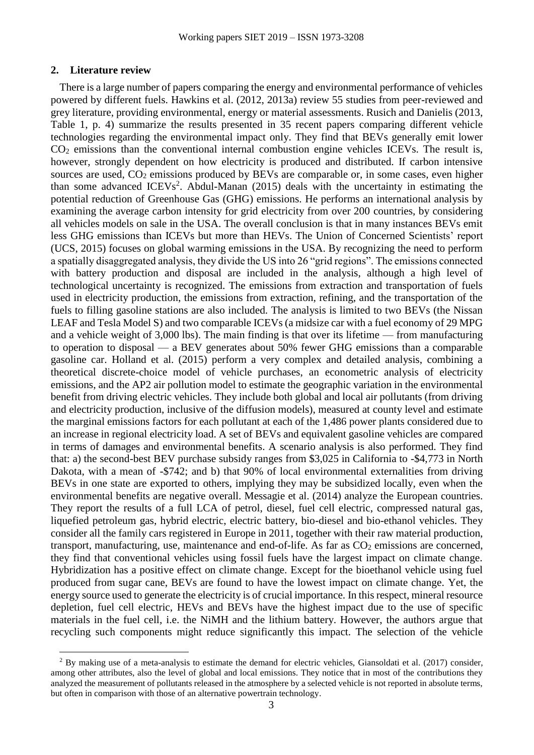#### **2. Literature review**

 $\overline{a}$ 

There is a large number of papers comparing the energy and environmental performance of vehicles powered by different fuels. Hawkins et al. (2012, 2013a) review 55 studies from peer-reviewed and grey literature, providing environmental, energy or material assessments. Rusich and Danielis (2013, Table 1, p. 4) summarize the results presented in 35 recent papers comparing different vehicle technologies regarding the environmental impact only. They find that BEVs generally emit lower  $CO<sub>2</sub>$  emissions than the conventional internal combustion engine vehicles ICEVs. The result is, however, strongly dependent on how electricity is produced and distributed. If carbon intensive sources are used,  $CO<sub>2</sub>$  emissions produced by BEVs are comparable or, in some cases, even higher than some advanced  $ICEVs<sup>2</sup>$ . Abdul-Manan (2015) deals with the uncertainty in estimating the potential reduction of Greenhouse Gas (GHG) emissions. He performs an international analysis by examining the average carbon intensity for grid electricity from over 200 countries, by considering all vehicles models on sale in the USA. The overall conclusion is that in many instances BEVs emit less GHG emissions than ICEVs but more than HEVs. The Union of Concerned Scientists' report (UCS, 2015) focuses on global warming emissions in the USA. By recognizing the need to perform a spatially disaggregated analysis, they divide the US into 26 "grid regions". The emissions connected with battery production and disposal are included in the analysis, although a high level of technological uncertainty is recognized. The emissions from extraction and transportation of fuels used in electricity production, the emissions from extraction, refining, and the transportation of the fuels to filling gasoline stations are also included. The analysis is limited to two BEVs (the Nissan LEAF and Tesla Model S) and two comparable ICEVs (a midsize car with a fuel economy of 29 MPG and a vehicle weight of 3,000 lbs). The main finding is that over its lifetime — from manufacturing to operation to disposal — a BEV generates about 50% fewer GHG emissions than a comparable gasoline car. Holland et al. (2015) perform a very complex and detailed analysis, combining a theoretical discrete-choice model of vehicle purchases, an econometric analysis of electricity emissions, and the AP2 air pollution model to estimate the geographic variation in the environmental benefit from driving electric vehicles. They include both global and local air pollutants (from driving and electricity production, inclusive of the diffusion models), measured at county level and estimate the marginal emissions factors for each pollutant at each of the 1,486 power plants considered due to an increase in regional electricity load. A set of BEVs and equivalent gasoline vehicles are compared in terms of damages and environmental benefits. A scenario analysis is also performed. They find that: a) the second-best BEV purchase subsidy ranges from \$3,025 in California to -\$4,773 in North Dakota, with a mean of -\$742; and b) that 90% of local environmental externalities from driving BEVs in one state are exported to others, implying they may be subsidized locally, even when the environmental benefits are negative overall. Messagie et al. (2014) analyze the European countries. They report the results of a full LCA of petrol, diesel, fuel cell electric, compressed natural gas, liquefied petroleum gas, hybrid electric, electric battery, bio-diesel and bio-ethanol vehicles. They consider all the family cars registered in Europe in 2011, together with their raw material production, transport, manufacturing, use, maintenance and end-of-life. As far as  $CO<sub>2</sub>$  emissions are concerned, they find that conventional vehicles using fossil fuels have the largest impact on climate change. Hybridization has a positive effect on climate change. Except for the bioethanol vehicle using fuel produced from sugar cane, BEVs are found to have the lowest impact on climate change. Yet, the energy source used to generate the electricity is of crucial importance. In this respect, mineral resource depletion, fuel cell electric, HEVs and BEVs have the highest impact due to the use of specific materials in the fuel cell, i.e. the NiMH and the lithium battery. However, the authors argue that recycling such components might reduce significantly this impact. The selection of the vehicle

 $2$  By making use of a meta-analysis to estimate the demand for electric vehicles, Giansoldati et al. (2017) consider, among other attributes, also the level of global and local emissions. They notice that in most of the contributions they analyzed the measurement of pollutants released in the atmosphere by a selected vehicle is not reported in absolute terms, but often in comparison with those of an alternative powertrain technology.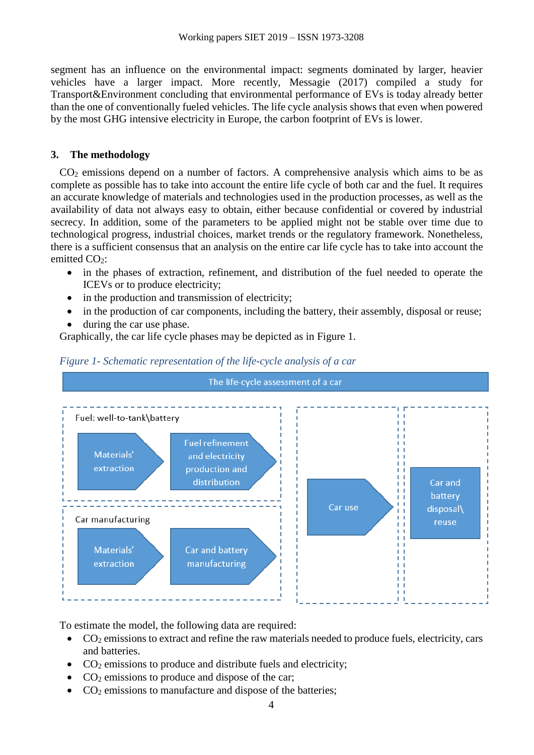segment has an influence on the environmental impact: segments dominated by larger, heavier vehicles have a larger impact. More recently, Messagie (2017) compiled a study for Transport&Environment concluding that environmental performance of EVs is today already better than the one of conventionally fueled vehicles. The life cycle analysis shows that even when powered by the most GHG intensive electricity in Europe, the carbon footprint of EVs is lower.

### **3. The methodology**

CO<sup>2</sup> emissions depend on a number of factors. A comprehensive analysis which aims to be as complete as possible has to take into account the entire life cycle of both car and the fuel. It requires an accurate knowledge of materials and technologies used in the production processes, as well as the availability of data not always easy to obtain, either because confidential or covered by industrial secrecy. In addition, some of the parameters to be applied might not be stable over time due to technological progress, industrial choices, market trends or the regulatory framework. Nonetheless, there is a sufficient consensus that an analysis on the entire car life cycle has to take into account the emitted CO<sub>2</sub>:

- in the phases of extraction, refinement, and distribution of the fuel needed to operate the ICEVs or to produce electricity;
- in the production and transmission of electricity;
- in the production of car components, including the battery, their assembly, disposal or reuse;
- during the car use phase.

Graphically, the car life cycle phases may be depicted as in [Figure 1.](#page-3-0)



<span id="page-3-0"></span>

To estimate the model, the following data are required:

- $\bullet$  CO<sub>2</sub> emissions to extract and refine the raw materials needed to produce fuels, electricity, cars and batteries.
- $\bullet$  CO<sub>2</sub> emissions to produce and distribute fuels and electricity;
- $\bullet$  CO<sub>2</sub> emissions to produce and dispose of the car;
- $\bullet$  CO<sub>2</sub> emissions to manufacture and dispose of the batteries;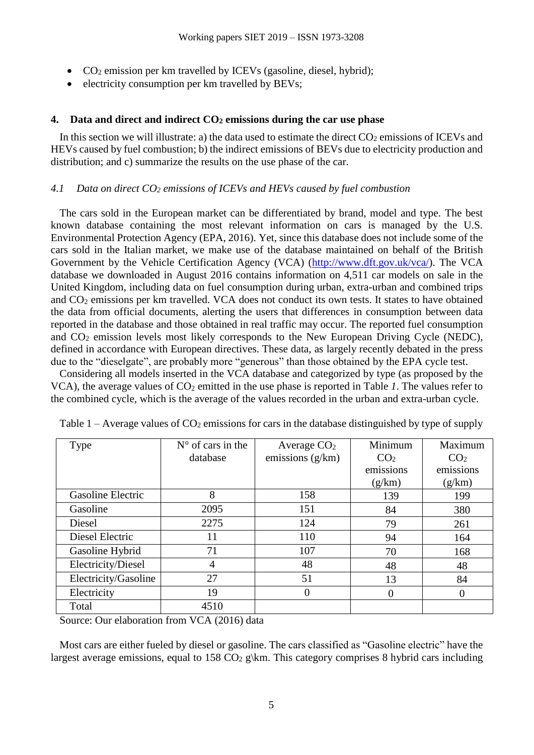- $CO<sub>2</sub>$  emission per km travelled by ICEVs (gasoline, diesel, hybrid);
- $\bullet$  electricity consumption per km travelled by BEVs;

### **4. Data and direct and indirect CO<sup>2</sup> emissions during the car use phase**

In this section we will illustrate: a) the data used to estimate the direct  $CO<sub>2</sub>$  emissions of ICEVs and HEVs caused by fuel combustion; b) the indirect emissions of BEVs due to electricity production and distribution; and c) summarize the results on the use phase of the car.

#### *4.1 Data on direct CO<sup>2</sup> emissions of ICEVs and HEVs caused by fuel combustion*

The cars sold in the European market can be differentiated by brand, model and type. The best known database containing the most relevant information on cars is managed by the U.S. Environmental Protection Agency (EPA, 2016). Yet, since this database does not include some of the cars sold in the Italian market, we make use of the database maintained on behalf of the British Government by the Vehicle Certification Agency (VCA) [\(http://www.dft.gov.uk/vca/\)](http://www.dft.gov.uk/vca/). The VCA database we downloaded in August 2016 contains information on 4,511 car models on sale in the United Kingdom, including data on fuel consumption during urban, extra-urban and combined trips and CO<sub>2</sub> emissions per km travelled. VCA does not conduct its own tests. It states to have obtained the data from official documents, alerting the users that differences in consumption between data reported in the database and those obtained in real traffic may occur. The reported fuel consumption and  $CO<sub>2</sub>$  emission levels most likely corresponds to the New European Driving Cycle (NEDC), defined in accordance with European directives. These data, as largely recently debated in the press due to the "dieselgate", are probably more "generous" than those obtained by the EPA cycle test.

Considering all models inserted in the VCA database and categorized by type (as proposed by the VCA), the average values of CO<sup>2</sup> emitted in the use phase is reported in [Table](#page-4-0) *1*. The values refer to the combined cycle, which is the average of the values recorded in the urban and extra-urban cycle.

| <b>Type</b>          | $N^{\circ}$ of cars in the | Average $CO2$      | Minimum         | Maximum         |
|----------------------|----------------------------|--------------------|-----------------|-----------------|
|                      | database                   | emissions $(g/km)$ | CO <sub>2</sub> | CO <sub>2</sub> |
|                      |                            |                    | emissions       | emissions       |
|                      |                            |                    | (g/km)          | (g/km)          |
| Gasoline Electric    | 8                          | 158                | 139             | 199             |
| Gasoline             | 2095                       | 151                | 84              | 380             |
| Diesel               | 2275                       | 124                | 79              | 261             |
| Diesel Electric      | 11                         | 110                | 94              | 164             |
| Gasoline Hybrid      | 71                         | 107                | 70              | 168             |
| Electricity/Diesel   | 4                          | 48                 | 48              | 48              |
| Electricity/Gasoline | 27                         | 51                 | 13              | 84              |
| Electricity          | 19                         | $\theta$           |                 |                 |
| Total                | 4510                       |                    |                 |                 |

<span id="page-4-0"></span>

| Table $1 -$ Average values of $CO_2$ emissions for cars in the database distinguished by type of supply |  |  |  |  |  |
|---------------------------------------------------------------------------------------------------------|--|--|--|--|--|
|                                                                                                         |  |  |  |  |  |

Source: Our elaboration from VCA (2016) data

Most cars are either fueled by diesel or gasoline. The cars classified as "Gasoline electric" have the largest average emissions, equal to 158  $CO<sub>2</sub>$  g\km. This category comprises 8 hybrid cars including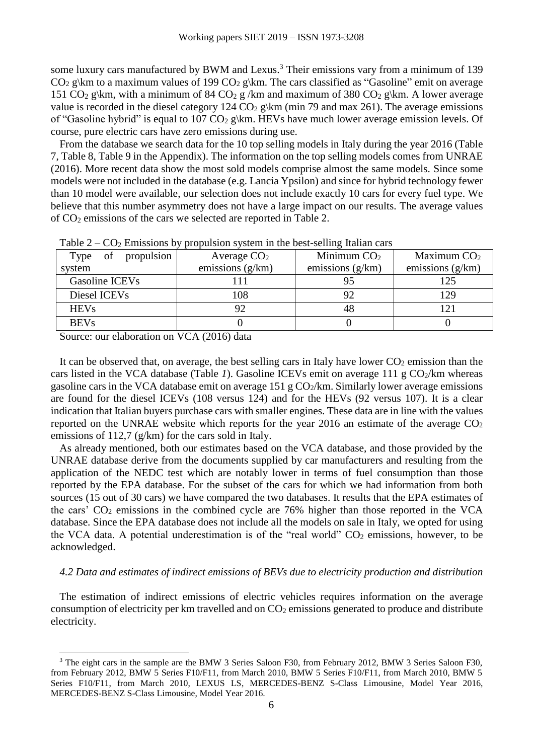some luxury cars manufactured by BWM and Lexus.<sup>3</sup> Their emissions vary from a minimum of 139  $CO<sub>2</sub> g\km$  to a maximum values of 199  $CO<sub>2</sub> g\km$ . The cars classified as "Gasoline" emit on average 151 CO<sub>2</sub> g\km, with a minimum of 84 CO<sub>2</sub> g /km and maximum of 380 CO<sub>2</sub> g\km. A lower average value is recorded in the diesel category 124  $CO<sub>2</sub>$  g\km (min 79 and max 261). The average emissions of "Gasoline hybrid" is equal to 107  $CO<sub>2</sub>$  g\km. HEVs have much lower average emission levels. Of course, pure electric cars have zero emissions during use.

From the database we search data for the 10 top selling models in Italy during the year 2016 [\(Table](#page-11-0)  [7,](#page-11-0) [Table 8,](#page-11-1) [Table 9](#page-12-0) in the Appendix). The information on the top selling models comes from UNRAE (2016). More recent data show the most sold models comprise almost the same models. Since some models were not included in the database (e.g. Lancia Ypsilon) and since for hybrid technology fewer than 10 model were available, our selection does not include exactly 10 cars for every fuel type. We believe that this number asymmetry does not have a large impact on our results. The average values of CO<sup>2</sup> emissions of the cars we selected are reported in [Table 2.](#page-5-0)

| $\frac{1}{2}$ $\frac{1}{2}$ $\frac{1}{2}$ $\frac{1}{2}$ $\frac{1}{2}$ $\frac{1}{2}$ $\frac{1}{2}$ $\frac{1}{2}$ $\frac{1}{2}$ $\frac{1}{2}$ $\frac{1}{2}$ $\frac{1}{2}$ $\frac{1}{2}$ $\frac{1}{2}$ $\frac{1}{2}$ $\frac{1}{2}$ $\frac{1}{2}$ $\frac{1}{2}$ $\frac{1}{2}$ $\frac{1}{2}$ $\frac{1}{2}$ $\frac{1}{2}$ |                    |                    |  |  |  |  |  |
|---------------------------------------------------------------------------------------------------------------------------------------------------------------------------------------------------------------------------------------------------------------------------------------------------------------------|--------------------|--------------------|--|--|--|--|--|
| Average $CO2$                                                                                                                                                                                                                                                                                                       | Minimum $CO2$      | Maximum $CO2$      |  |  |  |  |  |
| emissions $(g/km)$                                                                                                                                                                                                                                                                                                  | emissions $(g/km)$ | emissions $(g/km)$ |  |  |  |  |  |
|                                                                                                                                                                                                                                                                                                                     | 95                 |                    |  |  |  |  |  |
| 108                                                                                                                                                                                                                                                                                                                 | 92                 | 129                |  |  |  |  |  |
| 92                                                                                                                                                                                                                                                                                                                  | 48                 |                    |  |  |  |  |  |
|                                                                                                                                                                                                                                                                                                                     |                    |                    |  |  |  |  |  |
| propulsion                                                                                                                                                                                                                                                                                                          |                    |                    |  |  |  |  |  |

<span id="page-5-0"></span>Table  $2 - CQ_2$  Emissions by propulsion system in the best-selling Italian cars

Source: our elaboration on VCA (2016) data

 $\overline{a}$ 

It can be observed that, on average, the best selling cars in Italy have lower  $CO<sub>2</sub>$  emission than the cars listed in the VCA database [\(Table](#page-4-0) *1*). Gasoline ICEVs emit on average 111 g  $CO<sub>2</sub>/km$  whereas gasoline cars in the VCA database emit on average  $151 \text{ g } CO_2/\text{km}$ . Similarly lower average emissions are found for the diesel ICEVs (108 versus 124) and for the HEVs (92 versus 107). It is a clear indication that Italian buyers purchase cars with smaller engines. These data are in line with the values reported on the UNRAE website which reports for the year 2016 an estimate of the average  $CO<sub>2</sub>$ emissions of 112,7 (g/km) for the cars sold in Italy.

As already mentioned, both our estimates based on the VCA database, and those provided by the UNRAE database derive from the documents supplied by car manufacturers and resulting from the application of the NEDC test which are notably lower in terms of fuel consumption than those reported by the EPA database. For the subset of the cars for which we had information from both sources (15 out of 30 cars) we have compared the two databases. It results that the EPA estimates of the cars'  $CO<sub>2</sub>$  emissions in the combined cycle are 76% higher than those reported in the VCA database. Since the EPA database does not include all the models on sale in Italy, we opted for using the VCA data. A potential underestimation is of the "real world"  $CO<sub>2</sub>$  emissions, however, to be acknowledged.

#### *4.2 Data and estimates of indirect emissions of BEVs due to electricity production and distribution*

The estimation of indirect emissions of electric vehicles requires information on the average consumption of electricity per km travelled and on  $CO<sub>2</sub>$  emissions generated to produce and distribute electricity.

<sup>&</sup>lt;sup>3</sup> The eight cars in the sample are the BMW 3 Series Saloon F30, from February 2012, BMW 3 Series Saloon F30, from February 2012, BMW 5 Series F10/F11, from March 2010, BMW 5 Series F10/F11, from March 2010, BMW 5 Series F10/F11, from March 2010, LEXUS LS, MERCEDES-BENZ S-Class Limousine, Model Year 2016, MERCEDES-BENZ S-Class Limousine, Model Year 2016.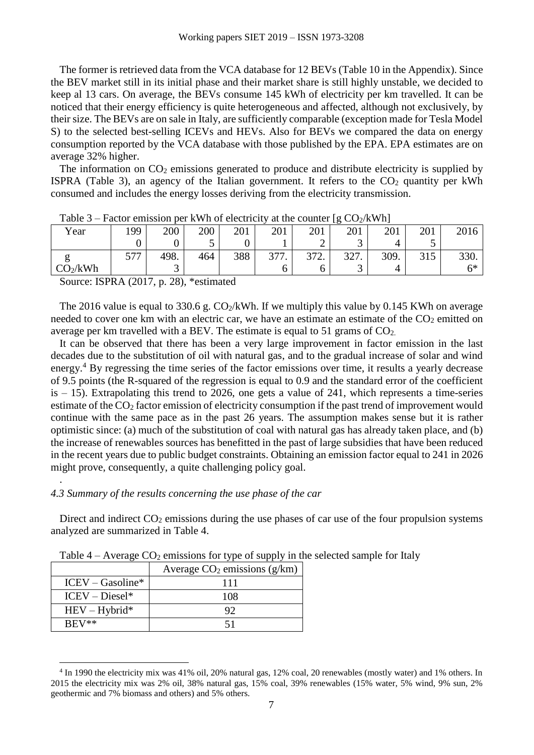The former is retrieved data from the VCA database for 12 BEVs [\(Table 10](#page-12-1) in the Appendix). Since the BEV market still in its initial phase and their market share is still highly unstable, we decided to keep al 13 cars. On average, the BEVs consume 145 kWh of electricity per km travelled. It can be noticed that their energy efficiency is quite heterogeneous and affected, although not exclusively, by their size. The BEVs are on sale in Italy, are sufficiently comparable (exception made for Tesla Model S) to the selected best-selling ICEVs and HEVs. Also for BEVs we compared the data on energy consumption reported by the VCA database with those published by the EPA. EPA estimates are on average 32% higher.

The information on  $CO<sub>2</sub>$  emissions generated to produce and distribute electricity is supplied by ISPRA [\(Table 3\)](#page-6-0), an agency of the Italian government. It refers to the  $CO<sub>2</sub>$  quantity per kWh consumed and includes the energy losses deriving from the electricity transmission.

| 10010J               | I actor emission per KWH of electricity at the counter $\left[5 \text{ CO2KWH}\right]$ |      |     |     |      |      |      |      |     |      |
|----------------------|----------------------------------------------------------------------------------------|------|-----|-----|------|------|------|------|-----|------|
| Year                 | 199                                                                                    | 200  | 200 | 201 | 201  | 201  | 201  | 201  | 201 | 2016 |
|                      |                                                                                        |      |     |     |      |      |      |      |     |      |
| ᇰ                    | ---                                                                                    | 498. | 464 | 388 | 377. | 372. | 327. | 309. | 315 | 330. |
| CO <sub>2</sub> /kWh |                                                                                        |      |     |     |      |      |      |      |     | 6*   |

<span id="page-6-0"></span>

Source: ISPRA (2017, p. 28), \*estimated

The 2016 value is equal to 330.6 g.  $CO_2/kWh$ . If we multiply this value by 0.145 KWh on average needed to cover one km with an electric car, we have an estimate an estimate of the  $CO<sub>2</sub>$  emitted on average per km travelled with a BEV. The estimate is equal to 51 grams of  $CO<sub>2</sub>$ .

It can be observed that there has been a very large improvement in factor emission in the last decades due to the substitution of oil with natural gas, and to the gradual increase of solar and wind energy.<sup>4</sup> By regressing the time series of the factor emissions over time, it results a yearly decrease of 9.5 points (the R-squared of the regression is equal to 0.9 and the standard error of the coefficient is  $-15$ ). Extrapolating this trend to 2026, one gets a value of 241, which represents a time-series estimate of the CO<sup>2</sup> factor emission of electricity consumption if the past trend of improvement would continue with the same pace as in the past 26 years. The assumption makes sense but it is rather optimistic since: (a) much of the substitution of coal with natural gas has already taken place, and (b) the increase of renewables sources has benefitted in the past of large subsidies that have been reduced in the recent years due to public budget constraints. Obtaining an emission factor equal to 241 in 2026 might prove, consequently, a quite challenging policy goal.

#### *4.3 Summary of the results concerning the use phase of the car*

.

 $\overline{a}$ 

Direct and indirect  $CO<sub>2</sub>$  emissions during the use phases of car use of the four propulsion systems analyzed are summarized in [Table 4.](#page-6-1)

|                    | Average $CO2$ emissions (g/km) |
|--------------------|--------------------------------|
| $ICEV - Gasoline*$ | 111                            |
| $ICEV - Diesel*$   | 108                            |
| $HEV - Hybrid*$    | 92                             |
| $BEV**$            | հ1                             |

<span id="page-6-1"></span>Table  $4 -$  Average  $CO<sub>2</sub>$  emissions for type of supply in the selected sample for Italy

<sup>4</sup> In 1990 the electricity mix was 41% oil, 20% natural gas, 12% coal, 20 renewables (mostly water) and 1% others. In 2015 the electricity mix was 2% oil, 38% natural gas, 15% coal, 39% renewables (15% water, 5% wind, 9% sun, 2% geothermic and 7% biomass and others) and 5% others.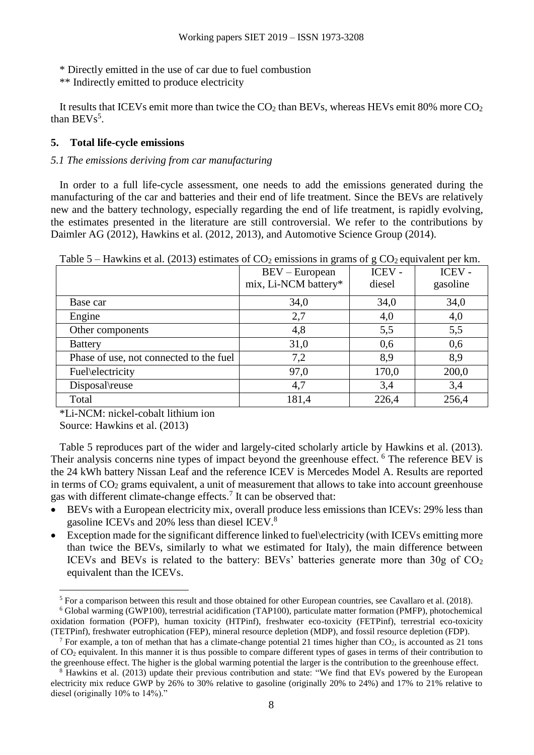\* Directly emitted in the use of car due to fuel combustion

\*\* Indirectly emitted to produce electricity

It results that ICEVs emit more than twice the  $CO<sub>2</sub>$  than BEVs, whereas HEVs emit 80% more  $CO<sub>2</sub>$ than  $BEVs<sup>5</sup>$ .

### **5. Total life-cycle emissions**

### *5.1 The emissions deriving from car manufacturing*

In order to a full life-cycle assessment, one needs to add the emissions generated during the manufacturing of the car and batteries and their end of life treatment. Since the BEVs are relatively new and the battery technology, especially regarding the end of life treatment, is rapidly evolving, the estimates presented in the literature are still controversial. We refer to the contributions by Daimler AG (2012), Hawkins et al. (2012, 2013), and Automotive Science Group (2014).

<span id="page-7-0"></span>

| Tavit J<br>Trawkins et al. (2019) estimates of $CO2$ emissions in grains of $g$ CO <sub>2</sub> equivalent per kin. |                      |        |          |  |  |  |
|---------------------------------------------------------------------------------------------------------------------|----------------------|--------|----------|--|--|--|
|                                                                                                                     | $BEV - European$     | ICEV - | ICEV -   |  |  |  |
|                                                                                                                     | mix, Li-NCM battery* | diesel | gasoline |  |  |  |
| Base car                                                                                                            | 34,0                 | 34,0   | 34,0     |  |  |  |
| Engine                                                                                                              | 2,7                  | 4,0    | 4,0      |  |  |  |
| Other components                                                                                                    | 4,8                  | 5,5    | 5,5      |  |  |  |
| <b>Battery</b>                                                                                                      | 31,0                 | 0,6    | 0,6      |  |  |  |
| Phase of use, not connected to the fuel                                                                             | 7,2                  | 8,9    | 8,9      |  |  |  |
| Fuel\electricity                                                                                                    | 97,0                 | 170,0  | 200,0    |  |  |  |
| Disposal\reuse                                                                                                      | 4,7                  | 3,4    | 3,4      |  |  |  |
| Total                                                                                                               | 181,4                | 226,4  | 256,4    |  |  |  |

Table 5 – Hawkins et al. (2013) estimates of  $CO<sub>2</sub>$  emissions in grams of g  $CO<sub>2</sub>$  equivalent per km.

\*Li-NCM: nickel-cobalt lithium ion

Source: Hawkins et al. (2013)

 $\overline{a}$ 

[Table 5](#page-7-0) reproduces part of the wider and largely-cited scholarly article by Hawkins et al. (2013). Their analysis concerns nine types of impact beyond the greenhouse effect. <sup>6</sup> The reference BEV is the 24 kWh battery Nissan Leaf and the reference ICEV is Mercedes Model A. Results are reported in terms of  $CO<sub>2</sub>$  grams equivalent, a unit of measurement that allows to take into account greenhouse gas with different climate-change effects. 7 It can be observed that:

- BEVs with a European electricity mix, overall produce less emissions than ICEVs: 29% less than gasoline ICEVs and 20% less than diesel ICEV.<sup>8</sup>
- Exception made for the significant difference linked to fuel\electricity (with ICEVs emitting more than twice the BEVs, similarly to what we estimated for Italy), the main difference between ICEVs and BEVs is related to the battery: BEVs' batteries generate more than  $30g$  of  $CO<sub>2</sub>$ equivalent than the ICEVs.

<sup>5</sup> For a comparison between this result and those obtained for other European countries, see Cavallaro et al. (2018).

<sup>6</sup> Global warming (GWP100), terrestrial acidification (TAP100), particulate matter formation (PMFP), photochemical oxidation formation (POFP), human toxicity (HTPinf), freshwater eco-toxicity (FETPinf), terrestrial eco-toxicity (TETPinf), freshwater eutrophication (FEP), mineral resource depletion (MDP), and fossil resource depletion (FDP).

<sup>&</sup>lt;sup>7</sup> For example, a ton of methan that has a climate-change potential 21 times higher than  $CO<sub>2</sub>$ , is accounted as 21 tons of CO<sup>2</sup> equivalent. In this manner it is thus possible to compare different types of gases in terms of their contribution to the greenhouse effect. The higher is the global warming potential the larger is the contribution to the greenhouse effect.

<sup>&</sup>lt;sup>8</sup> Hawkins et al. (2013) update their previous contribution and state: "We find that EVs powered by the European electricity mix reduce GWP by 26% to 30% relative to gasoline (originally 20% to 24%) and 17% to 21% relative to diesel (originally 10% to 14%)."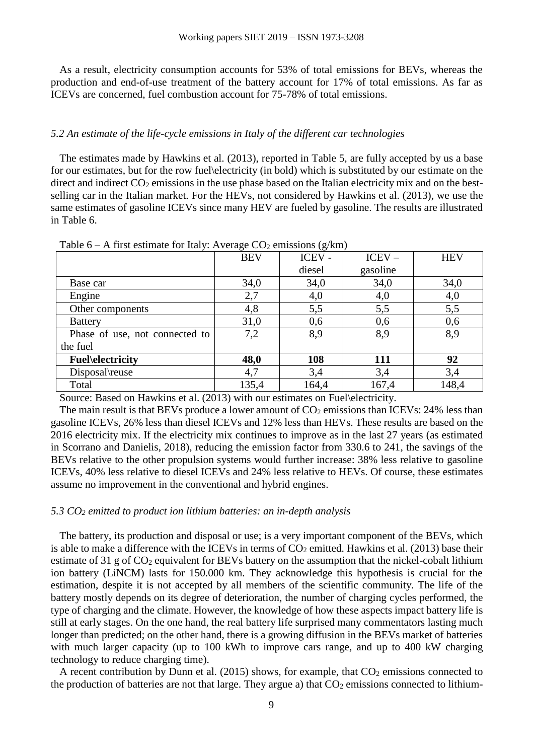As a result, electricity consumption accounts for 53% of total emissions for BEVs, whereas the production and end-of-use treatment of the battery account for 17% of total emissions. As far as ICEVs are concerned, fuel combustion account for 75-78% of total emissions.

#### *5.2 An estimate of the life-cycle emissions in Italy of the different car technologies*

The estimates made by Hawkins et al. (2013), reported in [Table 5,](#page-7-0) are fully accepted by us a base for our estimates, but for the row fuel\electricity (in bold) which is substituted by our estimate on the direct and indirect  $CO<sub>2</sub>$  emissions in the use phase based on the Italian electricity mix and on the bestselling car in the Italian market. For the HEVs, not considered by Hawkins et al. (2013), we use the same estimates of gasoline ICEVs since many HEV are fueled by gasoline. The results are illustrated in [Table 6.](#page-8-0)

|                                | <b>BEV</b> | ICEV - | $ICEV -$ | <b>HEV</b> |
|--------------------------------|------------|--------|----------|------------|
|                                |            | diesel | gasoline |            |
| Base car                       | 34,0       | 34,0   | 34,0     | 34,0       |
| Engine                         | 2,7        | 4,0    | 4,0      | 4,0        |
| Other components               | 4,8        | 5,5    | 5,5      | 5,5        |
| <b>Battery</b>                 | 31,0       | 0,6    | 0,6      | 0,6        |
| Phase of use, not connected to | 7,2        | 8,9    | 8,9      | 8,9        |
| the fuel                       |            |        |          |            |
| <b>Fuel</b> \electricity       | 48,0       | 108    | 111      | 92         |
| Disposal\reuse                 | 4,7        | 3,4    | 3,4      | 3,4        |
| Total                          | 135,4      | 164,4  | 167,4    | 148,4      |

<span id="page-8-0"></span>Table  $6 - A$  first estimate for Italy: Average  $CO<sub>2</sub>$  emissions (g/km)

Source: Based on Hawkins et al. (2013) with our estimates on Fuel\electricity.

The main result is that BEVs produce a lower amount of  $CO<sub>2</sub>$  emissions than ICEVs: 24% less than gasoline ICEVs, 26% less than diesel ICEVs and 12% less than HEVs. These results are based on the 2016 electricity mix. If the electricity mix continues to improve as in the last 27 years (as estimated in Scorrano and Danielis, 2018), reducing the emission factor from 330.6 to 241, the savings of the BEVs relative to the other propulsion systems would further increase: 38% less relative to gasoline ICEVs, 40% less relative to diesel ICEVs and 24% less relative to HEVs. Of course, these estimates assume no improvement in the conventional and hybrid engines.

#### *5.3 CO<sup>2</sup> emitted to product ion lithium batteries: an in-depth analysis*

The battery, its production and disposal or use; is a very important component of the BEVs, which is able to make a difference with the ICEVs in terms of  $CO<sub>2</sub>$  emitted. Hawkins et al. (2013) base their estimate of 31 g of  $CO<sub>2</sub>$  equivalent for BEVs battery on the assumption that the nickel-cobalt lithium ion battery (LiNCM) lasts for 150.000 km. They acknowledge this hypothesis is crucial for the estimation, despite it is not accepted by all members of the scientific community. The life of the battery mostly depends on its degree of deterioration, the number of charging cycles performed, the type of charging and the climate. However, the knowledge of how these aspects impact battery life is still at early stages. On the one hand, the real battery life surprised many commentators lasting much longer than predicted; on the other hand, there is a growing diffusion in the BEVs market of batteries with much larger capacity (up to 100 kWh to improve cars range, and up to 400 kW charging technology to reduce charging time).

A recent contribution by Dunn et al. (2015) shows, for example, that  $CO<sub>2</sub>$  emissions connected to the production of batteries are not that large. They argue a) that  $CO<sub>2</sub>$  emissions connected to lithium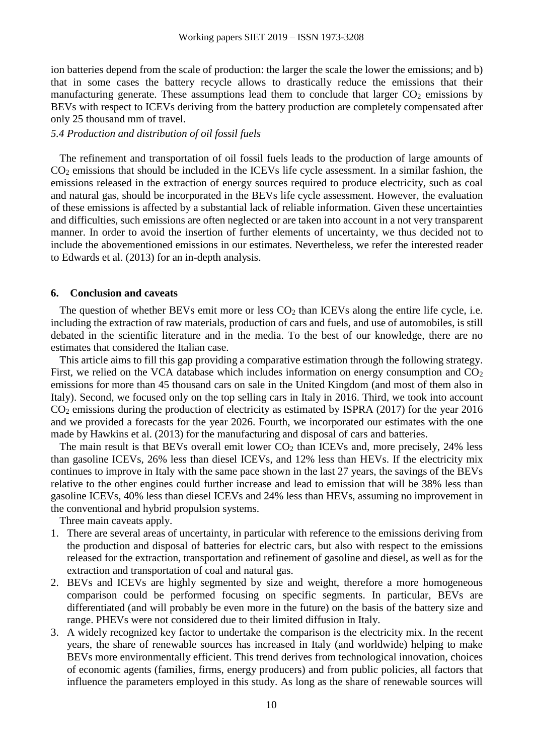ion batteries depend from the scale of production: the larger the scale the lower the emissions; and b) that in some cases the battery recycle allows to drastically reduce the emissions that their manufacturing generate. These assumptions lead them to conclude that larger  $CO<sub>2</sub>$  emissions by BEVs with respect to ICEVs deriving from the battery production are completely compensated after only 25 thousand mm of travel.

#### *5.4 Production and distribution of oil fossil fuels*

The refinement and transportation of oil fossil fuels leads to the production of large amounts of CO<sup>2</sup> emissions that should be included in the ICEVs life cycle assessment. In a similar fashion, the emissions released in the extraction of energy sources required to produce electricity, such as coal and natural gas, should be incorporated in the BEVs life cycle assessment. However, the evaluation of these emissions is affected by a substantial lack of reliable information. Given these uncertainties and difficulties, such emissions are often neglected or are taken into account in a not very transparent manner. In order to avoid the insertion of further elements of uncertainty, we thus decided not to include the abovementioned emissions in our estimates. Nevertheless, we refer the interested reader to Edwards et al. (2013) for an in-depth analysis.

### **6. Conclusion and caveats**

The question of whether BEVs emit more or less  $CO<sub>2</sub>$  than ICEVs along the entire life cycle, i.e. including the extraction of raw materials, production of cars and fuels, and use of automobiles, is still debated in the scientific literature and in the media. To the best of our knowledge, there are no estimates that considered the Italian case.

This article aims to fill this gap providing a comparative estimation through the following strategy. First, we relied on the VCA database which includes information on energy consumption and  $CO<sub>2</sub>$ emissions for more than 45 thousand cars on sale in the United Kingdom (and most of them also in Italy). Second, we focused only on the top selling cars in Italy in 2016. Third, we took into account CO<sup>2</sup> emissions during the production of electricity as estimated by ISPRA (2017) for the year 2016 and we provided a forecasts for the year 2026. Fourth, we incorporated our estimates with the one made by Hawkins et al. (2013) for the manufacturing and disposal of cars and batteries.

The main result is that BEVs overall emit lower  $CO<sub>2</sub>$  than ICEVs and, more precisely, 24% less than gasoline ICEVs, 26% less than diesel ICEVs, and 12% less than HEVs. If the electricity mix continues to improve in Italy with the same pace shown in the last 27 years, the savings of the BEVs relative to the other engines could further increase and lead to emission that will be 38% less than gasoline ICEVs, 40% less than diesel ICEVs and 24% less than HEVs, assuming no improvement in the conventional and hybrid propulsion systems.

Three main caveats apply.

- 1. There are several areas of uncertainty, in particular with reference to the emissions deriving from the production and disposal of batteries for electric cars, but also with respect to the emissions released for the extraction, transportation and refinement of gasoline and diesel, as well as for the extraction and transportation of coal and natural gas.
- 2. BEVs and ICEVs are highly segmented by size and weight, therefore a more homogeneous comparison could be performed focusing on specific segments. In particular, BEVs are differentiated (and will probably be even more in the future) on the basis of the battery size and range. PHEVs were not considered due to their limited diffusion in Italy.
- 3. A widely recognized key factor to undertake the comparison is the electricity mix. In the recent years, the share of renewable sources has increased in Italy (and worldwide) helping to make BEVs more environmentally efficient. This trend derives from technological innovation, choices of economic agents (families, firms, energy producers) and from public policies, all factors that influence the parameters employed in this study. As long as the share of renewable sources will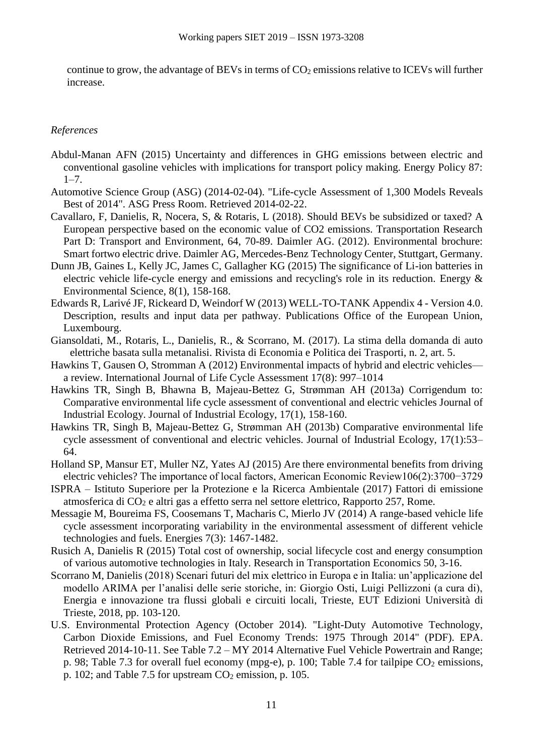continue to grow, the advantage of BEVs in terms of  $CO<sub>2</sub>$  emissions relative to ICEVs will further increase.

### *References*

- Abdul-Manan AFN (2015) Uncertainty and differences in GHG emissions between electric and conventional gasoline vehicles with implications for transport policy making. Energy Policy 87:  $1 - 7$ .
- Automotive Science Group (ASG) (2014-02-04). "Life-cycle Assessment of 1,300 Models Reveals Best of 2014". ASG Press Room. Retrieved 2014-02-22.
- Cavallaro, F, Danielis, R, Nocera, S, & Rotaris, L (2018). Should BEVs be subsidized or taxed? A European perspective based on the economic value of CO2 emissions. Transportation Research Part D: Transport and Environment, 64, 70-89. Daimler AG. (2012). Environmental brochure: Smart fortwo electric drive. Daimler AG, Mercedes-Benz Technology Center, Stuttgart, Germany.
- Dunn JB, Gaines L, Kelly JC, James C, Gallagher KG (2015) The significance of Li-ion batteries in electric vehicle life-cycle energy and emissions and recycling's role in its reduction. Energy & Environmental Science, 8(1), 158-168.
- Edwards R, Larivé JF, Rickeard D, Weindorf W (2013) WELL-TO-TANK Appendix 4 Version 4.0. Description, results and input data per pathway. Publications Office of the European Union, Luxembourg.
- Giansoldati, M., Rotaris, L., Danielis, R., & Scorrano, M. (2017). La stima della domanda di auto elettriche basata sulla metanalisi. Rivista di Economia e Politica dei Trasporti, n. 2, art. 5.
- Hawkins T, Gausen O, Stromman A (2012) Environmental impacts of hybrid and electric vehicles a review. International Journal of Life Cycle Assessment 17(8): 997–1014
- Hawkins TR, Singh B, Bhawna B, Majeau-Bettez G, Strømman AH (2013a) Corrigendum to: Comparative environmental life cycle assessment of conventional and electric vehicles Journal of Industrial Ecology. Journal of Industrial Ecology, 17(1), 158-160.
- Hawkins TR, Singh B, Majeau-Bettez G, Strømman AH (2013b) Comparative environmental life cycle assessment of conventional and electric vehicles. Journal of Industrial Ecology, 17(1):53– 64.
- Holland SP, Mansur ET, Muller NZ, Yates AJ (2015) Are there environmental benefits from driving electric vehicles? The importance of local factors, American Economic Review106(2):3700−3729
- ISPRA Istituto Superiore per la Protezione e la Ricerca Ambientale (2017) Fattori di emissione atmosferica di CO<sup>2</sup> e altri gas a effetto serra nel settore elettrico, Rapporto 257, Rome.
- Messagie M, Boureima FS, Coosemans T, Macharis C, Mierlo JV (2014) A range-based vehicle life cycle assessment incorporating variability in the environmental assessment of different vehicle technologies and fuels. Energies 7(3): 1467-1482.
- Rusich A, Danielis R (2015) Total cost of ownership, social lifecycle cost and energy consumption of various automotive technologies in Italy. Research in Transportation Economics 50, 3-16.
- Scorrano M, Danielis (2018) Scenari futuri del mix elettrico in Europa e in Italia: un'applicazione del modello ARIMA per l'analisi delle serie storiche, in: Giorgio Osti, Luigi Pellizzoni (a cura di), Energia e innovazione tra flussi globali e circuiti locali, Trieste, EUT Edizioni Università di Trieste, 2018, pp. 103-120.
- U.S. Environmental Protection Agency (October 2014). "Light-Duty Automotive Technology, Carbon Dioxide Emissions, and Fuel Economy Trends: 1975 Through 2014" (PDF). EPA. Retrieved 2014-10-11. See Table 7.2 – MY 2014 Alternative Fuel Vehicle Powertrain and Range; p. 98; Table 7.3 for overall fuel economy (mpg-e), p. 100; Table 7.4 for tailpipe  $CO<sub>2</sub>$  emissions, p. 102; and Table 7.5 for upstream  $CO<sub>2</sub>$  emission, p. 105.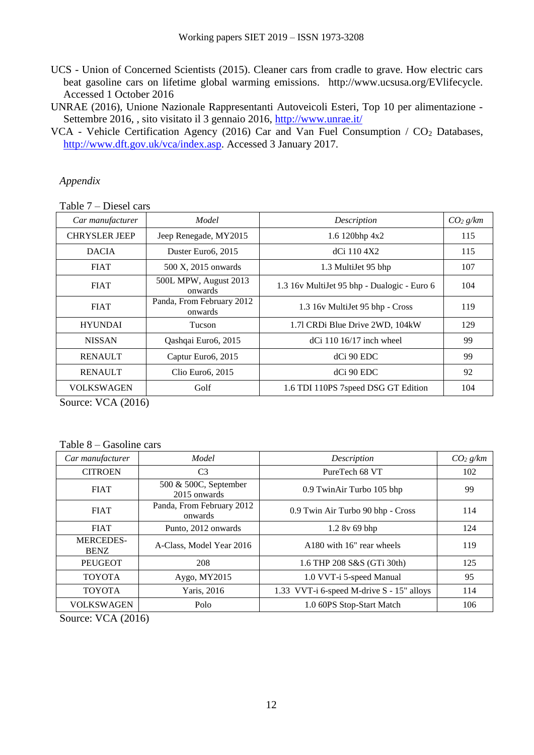- UCS Union of Concerned Scientists (2015). Cleaner cars from cradle to grave. How electric cars beat gasoline cars on lifetime global warming emissions. http://www.ucsusa.org/EVlifecycle. Accessed 1 October 2016
- UNRAE (2016), Unione Nazionale Rappresentanti Autoveicoli Esteri, Top 10 per alimentazione Settembre 2016, , sito visitato il 3 gennaio 2016,<http://www.unrae.it/>
- VCA Vehicle Certification Agency (2016) Car and Van Fuel Consumption / CO<sub>2</sub> Databases, [http://www.dft.gov.uk/vca/index.asp.](http://www.dft.gov.uk/vca/index.asp) Accessed 3 January 2017.

*Appendix*

<span id="page-11-0"></span>Table 7 – Diesel cars

| Car manufacturer     | Model                                | Description                                 | CO <sub>2</sub> g/km |
|----------------------|--------------------------------------|---------------------------------------------|----------------------|
| <b>CHRYSLER JEEP</b> | Jeep Renegade, MY2015                | 1.6 120bhp 4x2                              | 115                  |
| <b>DACIA</b>         | Duster Euro6, 2015                   | dCi 110 4X2                                 | 115                  |
| <b>FIAT</b>          | 500 X, 2015 onwards                  | 1.3 MultiJet 95 bhp                         | 107                  |
| <b>FIAT</b>          | 500L MPW, August 2013<br>onwards     | 1.3 16v MultiJet 95 bhp - Dualogic - Euro 6 | 104                  |
| <b>FIAT</b>          | Panda, From February 2012<br>onwards | 1.3 16v MultiJet 95 bhp - Cross             | 119                  |
| <b>HYUNDAI</b>       | <b>Tucson</b>                        | 1.71 CRDi Blue Drive 2WD, 104kW             | 129                  |
| <b>NISSAN</b>        | Qashqai Euro6, 2015                  | $dCi$ 110 16/17 inch wheel                  | 99                   |
| <b>RENAULT</b>       | Captur Euro6, 2015                   | $dC$ i 90 EDC                               | 99                   |
| <b>RENAULT</b>       | Clio Euro6, 2015                     | dCi 90 EDC                                  | 92                   |
| <b>VOLKSWAGEN</b>    | Golf                                 | 1.6 TDI 110PS 7speed DSG GT Edition         | 104                  |

Source: VCA (2016)

<span id="page-11-1"></span>Table 8 – Gasoline cars

| Car manufacturer                | Model                                 | Description                               | CO <sub>2</sub> g/km |
|---------------------------------|---------------------------------------|-------------------------------------------|----------------------|
| <b>CITROEN</b>                  | C <sub>3</sub>                        | PureTech 68 VT                            | 102                  |
| <b>FIAT</b>                     | 500 & 500C, September<br>2015 onwards | 0.9 TwinAir Turbo 105 bhp                 | 99                   |
| <b>FIAT</b>                     | Panda, From February 2012<br>onwards  | 0.9 Twin Air Turbo 90 bhp - Cross         | 114                  |
| <b>FIAT</b>                     | Punto, 2012 onwards                   | 1.2 8v 69 bhp                             | 124                  |
| <b>MERCEDES-</b><br><b>BENZ</b> | A-Class, Model Year 2016              | A180 with 16" rear wheels                 | 119                  |
| <b>PEUGEOT</b>                  | 208                                   | 1.6 THP 208 S&S (GTi 30th)                | 125                  |
| <b>TOYOTA</b>                   | Aygo, MY2015                          | 1.0 VVT-i 5-speed Manual                  | 95                   |
| <b>TOYOTA</b>                   | Yaris, 2016                           | 1.33 VVT-i 6-speed M-drive S - 15" alloys | 114                  |
| <b>VOLKSWAGEN</b>               | Polo                                  | 1.0 60PS Stop-Start Match                 | 106                  |

Source: VCA (2016)